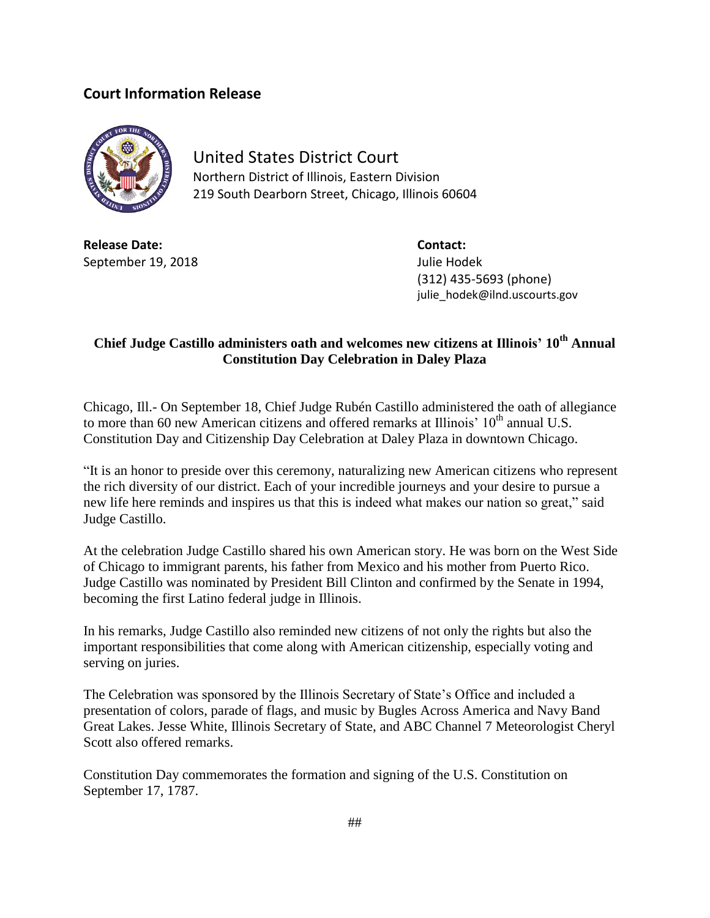## **Court Information Release**



United States District Court Northern District of Illinois, Eastern Division 219 South Dearborn Street, Chicago, Illinois 60604

**Release Date: Contact:** September 19, 2018 **Julie Hodek** 

(312) 435-5693 (phone) julie\_hodek@ilnd.uscourts.gov

## **Chief Judge Castillo administers oath and welcomes new citizens at Illinois' 10th Annual Constitution Day Celebration in Daley Plaza**

Chicago, Ill.- On September 18, Chief Judge Rubén Castillo administered the oath of allegiance to more than 60 new American citizens and offered remarks at Illinois' 10<sup>th</sup> annual U.S. Constitution Day and Citizenship Day Celebration at Daley Plaza in downtown Chicago.

"It is an honor to preside over this ceremony, naturalizing new American citizens who represent the rich diversity of our district. Each of your incredible journeys and your desire to pursue a new life here reminds and inspires us that this is indeed what makes our nation so great," said Judge Castillo.

At the celebration Judge Castillo shared his own American story. He was born on the West Side of Chicago to immigrant parents, his father from Mexico and his mother from Puerto Rico. Judge Castillo was nominated by President Bill Clinton and confirmed by the Senate in 1994, becoming the first Latino federal judge in Illinois.

In his remarks, Judge Castillo also reminded new citizens of not only the rights but also the important responsibilities that come along with American citizenship, especially voting and serving on juries.

The Celebration was sponsored by the Illinois Secretary of State's Office and included a presentation of colors, parade of flags, and music by Bugles Across America and Navy Band Great Lakes. Jesse White, Illinois Secretary of State, and ABC Channel 7 Meteorologist Cheryl Scott also offered remarks.

Constitution Day commemorates the formation and signing of the U.S. Constitution on September 17, 1787.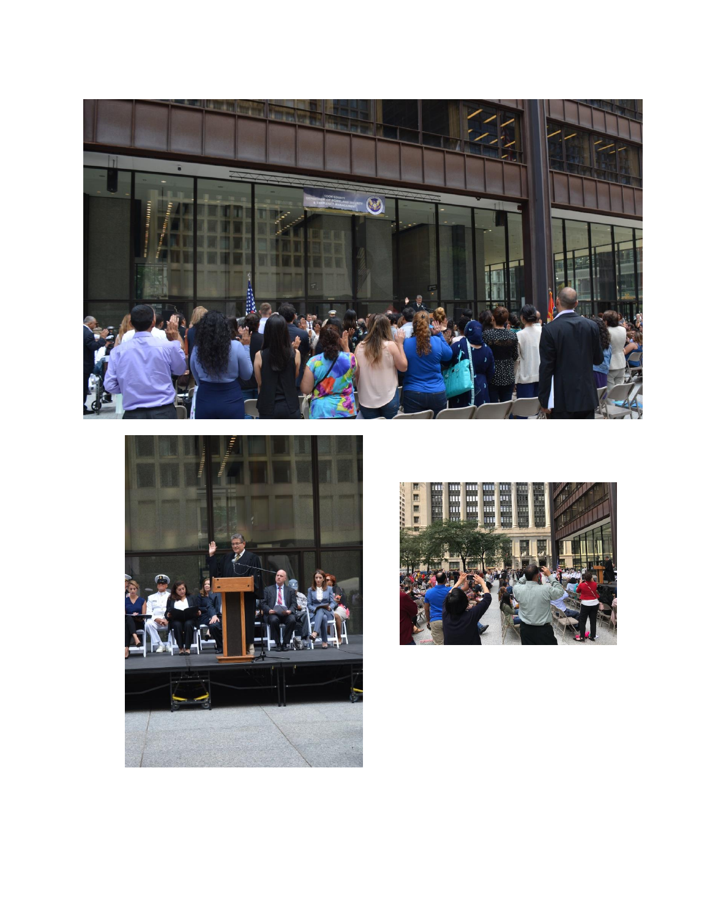